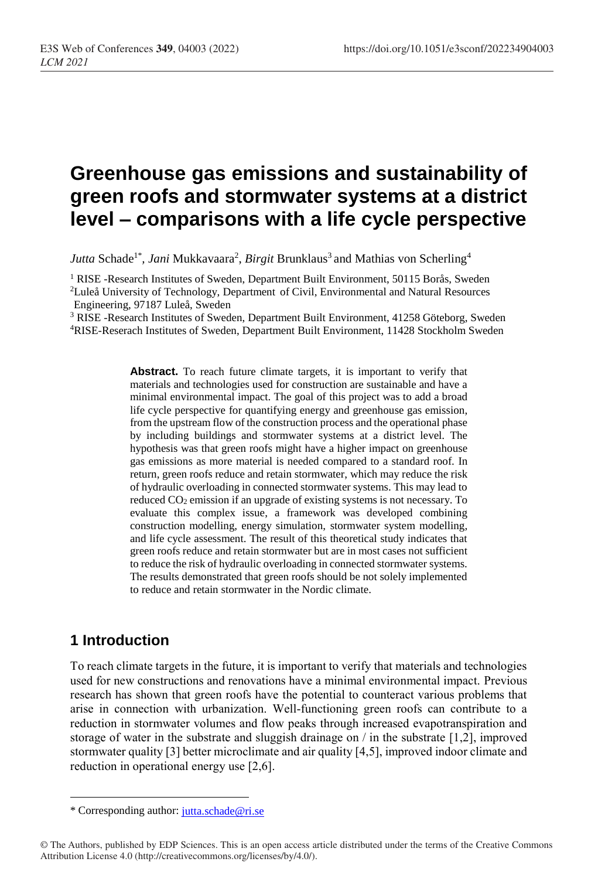# **Greenhouse gas emissions and sustainability of green roofs and stormwater systems at a district level – comparisons with a life cycle perspective**

*Jutta* Schade<sup>1\*</sup>, *Jani* Mukkavaara<sup>2</sup>, *Birgit* Brunklaus<sup>3</sup> and Mathias von Scherling<sup>4</sup>

<sup>1</sup> RISE -Research Institutes of Sweden, Department Built Environment, 50115 Borås, Sweden <sup>2</sup>Luleå University of Technology, Department of Civil, Environmental and Natural Resources Engineering, 97187 Luleå, Sweden

<sup>3</sup> RISE -Research Institutes of Sweden, Department Built Environment, 41258 Göteborg, Sweden <sup>4</sup>RISE-Reserach Institutes of Sweden, Department Built Environment, 11428 Stockholm Sweden

> Abstract. To reach future climate targets, it is important to verify that materials and technologies used for construction are sustainable and have a minimal environmental impact. The goal of this project was to add a broad life cycle perspective for quantifying energy and greenhouse gas emission, from the upstream flow of the construction process and the operational phase by including buildings and stormwater systems at a district level. The hypothesis was that green roofs might have a higher impact on greenhouse gas emissions as more material is needed compared to a standard roof. In return, green roofs reduce and retain stormwater, which may reduce the risk of hydraulic overloading in connected stormwater systems. This may lead to reduced CO<sup>2</sup> emission if an upgrade of existing systems is not necessary. To evaluate this complex issue, a framework was developed combining construction modelling, energy simulation, stormwater system modelling, and life cycle assessment. The result of this theoretical study indicates that green roofs reduce and retain stormwater but are in most cases not sufficient to reduce the risk of hydraulic overloading in connected stormwater systems. The results demonstrated that green roofs should be not solely implemented to reduce and retain stormwater in the Nordic climate.

# **1 Introduction**

 $\overline{a}$ 

To reach climate targets in the future, it is important to verify that materials and technologies used for new constructions and renovations have a minimal environmental impact. Previous research has shown that green roofs have the potential to counteract various problems that arise in connection with urbanization. Well-functioning green roofs can contribute to a reduction in stormwater volumes and flow peaks through increased evapotranspiration and storage of water in the substrate and sluggish drainage on / in the substrate [1,2], improved stormwater quality [3] better microclimate and air quality [4,5], improved indoor climate and reduction in operational energy use [2,6].

<sup>\*</sup> Corresponding author: [jutta.schade@ri.se](mailto:jutta.schade@ri.se)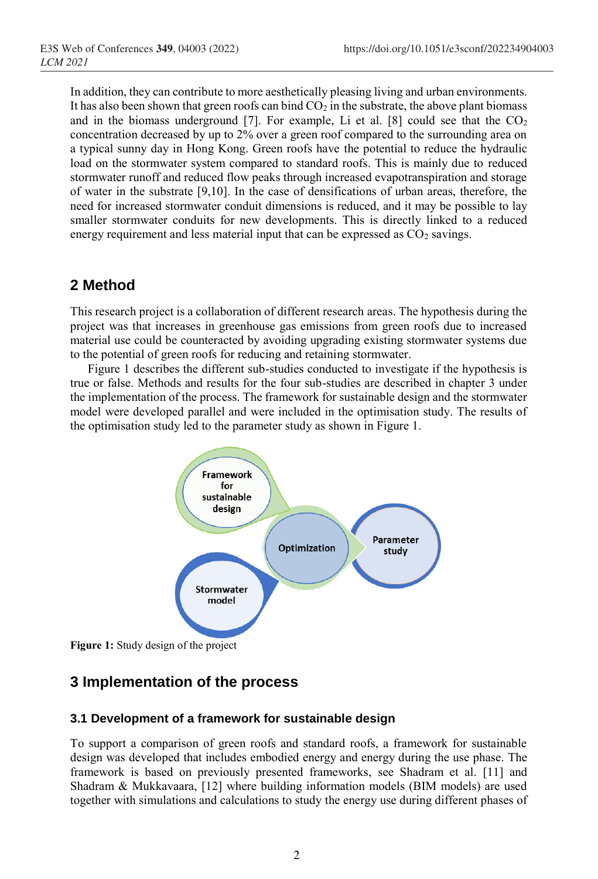In addition, they can contribute to more aesthetically pleasing living and urban environments. It has also been shown that green roofs can bind  $CO<sub>2</sub>$  in the substrate, the above plant biomass and in the biomass underground [7]. For example, Li et al. [8] could see that the  $CO<sub>2</sub>$ concentration decreased by up to 2% over a green roof compared to the surrounding area on a typical sunny day in Hong Kong. Green roofs have the potential to reduce the hydraulic load on the stormwater system compared to standard roofs. This is mainly due to reduced stormwater runoff and reduced flow peaks through increased evapotranspiration and storage of water in the substrate [9,10]. In the case of densifications of urban areas, therefore, the need for increased stormwater conduit dimensions is reduced, and it may be possible to lay smaller stormwater conduits for new developments. This is directly linked to a reduced energy requirement and less material input that can be expressed as  $CO<sub>2</sub>$  savings.

### **2 Method**

This research project is a collaboration of different research areas. The hypothesis during the project was that increases in greenhouse gas emissions from green roofs due to increased material use could be counteracted by avoiding upgrading existing stormwater systems due to the potential of green roofs for reducing and retaining stormwater.

Figure 1 describes the different sub-studies conducted to investigate if the hypothesis is true or false. Methods and results for the four sub-studies are described in chapter 3 under the implementation of the process. The framework for sustainable design and the stormwater model were developed parallel and were included in the optimisation study. The results of the optimisation study led to the parameter study as shown in Figure 1.



**Figure 1:** Study design of the project

# **3 Implementation of the process**

#### **3.1 Development of a framework for sustainable design**

To support a comparison of green roofs and standard roofs, a framework for sustainable design was developed that includes embodied energy and energy during the use phase. The framework is based on previously presented frameworks, see Shadram et al. [11] and Shadram & Mukkavaara, [12] where building information models (BIM models) are used together with simulations and calculations to study the energy use during different phases of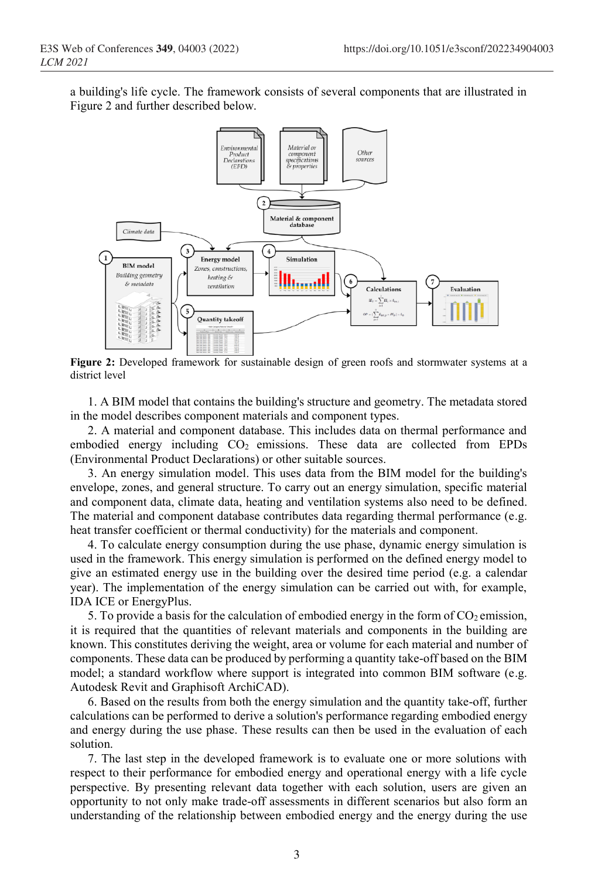a building's life cycle. The framework consists of several components that are illustrated in Figure 2 and further described below.



**Figure 2:** Developed framework for sustainable design of green roofs and stormwater systems at a district level

1. A BIM model that contains the building's structure and geometry. The metadata stored in the model describes component materials and component types.

2. A material and component database. This includes data on thermal performance and embodied energy including CO<sub>2</sub> emissions. These data are collected from EPDs (Environmental Product Declarations) or other suitable sources.

3. An energy simulation model. This uses data from the BIM model for the building's envelope, zones, and general structure. To carry out an energy simulation, specific material and component data, climate data, heating and ventilation systems also need to be defined. The material and component database contributes data regarding thermal performance (e.g. heat transfer coefficient or thermal conductivity) for the materials and component.

4. To calculate energy consumption during the use phase, dynamic energy simulation is used in the framework. This energy simulation is performed on the defined energy model to give an estimated energy use in the building over the desired time period (e.g. a calendar year). The implementation of the energy simulation can be carried out with, for example, IDA ICE or EnergyPlus.

5. To provide a basis for the calculation of embodied energy in the form of  $CO<sub>2</sub>$  emission, it is required that the quantities of relevant materials and components in the building are known. This constitutes deriving the weight, area or volume for each material and number of components. These data can be produced by performing a quantity take-off based on the BIM model; a standard workflow where support is integrated into common BIM software (e.g. Autodesk Revit and Graphisoft ArchiCAD).

6. Based on the results from both the energy simulation and the quantity take-off, further calculations can be performed to derive a solution's performance regarding embodied energy and energy during the use phase. These results can then be used in the evaluation of each solution.

7. The last step in the developed framework is to evaluate one or more solutions with respect to their performance for embodied energy and operational energy with a life cycle perspective. By presenting relevant data together with each solution, users are given an opportunity to not only make trade-off assessments in different scenarios but also form an understanding of the relationship between embodied energy and the energy during the use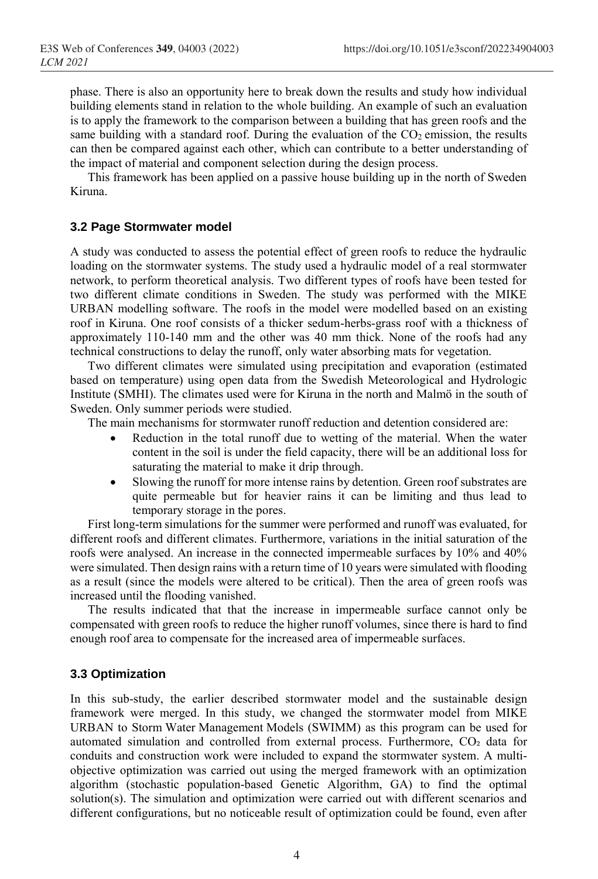phase. There is also an opportunity here to break down the results and study how individual building elements stand in relation to the whole building. An example of such an evaluation is to apply the framework to the comparison between a building that has green roofs and the same building with a standard roof. During the evaluation of the  $CO<sub>2</sub>$  emission, the results can then be compared against each other, which can contribute to a better understanding of the impact of material and component selection during the design process.

This framework has been applied on a passive house building up in the north of Sweden Kiruna.

#### **3.2 Page Stormwater model**

A study was conducted to assess the potential effect of green roofs to reduce the hydraulic loading on the stormwater systems. The study used a hydraulic model of a real stormwater network, to perform theoretical analysis. Two different types of roofs have been tested for two different climate conditions in Sweden. The study was performed with the MIKE URBAN modelling software. The roofs in the model were modelled based on an existing roof in Kiruna. One roof consists of a thicker sedum-herbs-grass roof with a thickness of approximately 110-140 mm and the other was 40 mm thick. None of the roofs had any technical constructions to delay the runoff, only water absorbing mats for vegetation.

Two different climates were simulated using precipitation and evaporation (estimated based on temperature) using open data from the Swedish Meteorological and Hydrologic Institute (SMHI). The climates used were for Kiruna in the north and Malmö in the south of Sweden. Only summer periods were studied.

The main mechanisms for stormwater runoff reduction and detention considered are:

- Reduction in the total runoff due to wetting of the material. When the water content in the soil is under the field capacity, there will be an additional loss for saturating the material to make it drip through.
- Slowing the runoff for more intense rains by detention. Green roof substrates are quite permeable but for heavier rains it can be limiting and thus lead to temporary storage in the pores.

First long-term simulations for the summer were performed and runoff was evaluated, for different roofs and different climates. Furthermore, variations in the initial saturation of the roofs were analysed. An increase in the connected impermeable surfaces by 10% and 40% were simulated. Then design rains with a return time of 10 years were simulated with flooding as a result (since the models were altered to be critical). Then the area of green roofs was increased until the flooding vanished.

The results indicated that that the increase in impermeable surface cannot only be compensated with green roofs to reduce the higher runoff volumes, since there is hard to find enough roof area to compensate for the increased area of impermeable surfaces.

#### **3.3 Optimization**

In this sub-study, the earlier described stormwater model and the sustainable design framework were merged. In this study, we changed the stormwater model from MIKE URBAN to Storm Water Management Models (SWIMM) as this program can be used for automated simulation and controlled from external process. Furthermore, CO₂ data for conduits and construction work were included to expand the stormwater system. A multiobjective optimization was carried out using the merged framework with an optimization algorithm (stochastic population-based Genetic Algorithm, GA) to find the optimal solution(s). The simulation and optimization were carried out with different scenarios and different configurations, but no noticeable result of optimization could be found, even after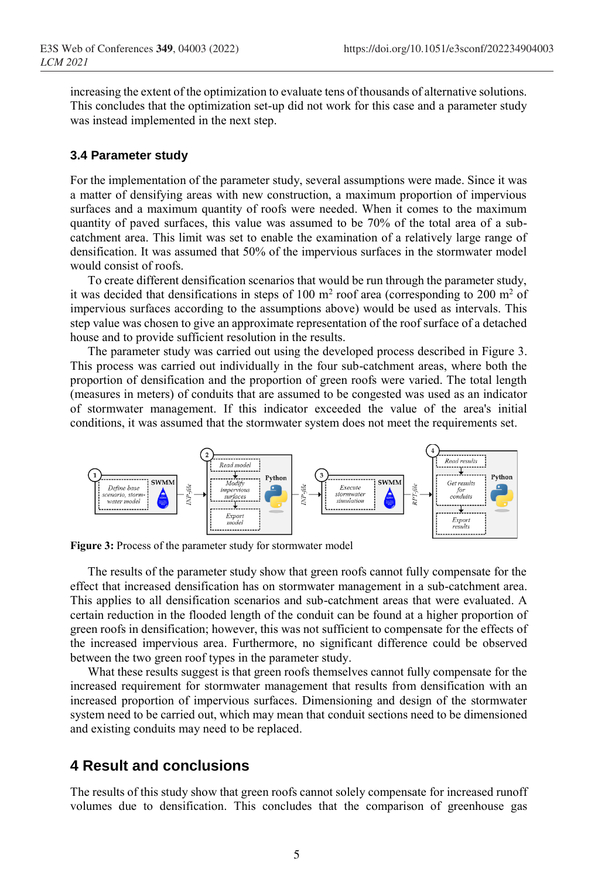increasing the extent of the optimization to evaluate tens of thousands of alternative solutions. This concludes that the optimization set-up did not work for this case and a parameter study was instead implemented in the next step.

#### **3.4 Parameter study**

For the implementation of the parameter study, several assumptions were made. Since it was a matter of densifying areas with new construction, a maximum proportion of impervious surfaces and a maximum quantity of roofs were needed. When it comes to the maximum quantity of paved surfaces, this value was assumed to be 70% of the total area of a subcatchment area. This limit was set to enable the examination of a relatively large range of densification. It was assumed that 50% of the impervious surfaces in the stormwater model would consist of roofs.

To create different densification scenarios that would be run through the parameter study, it was decided that densifications in steps of 100  $m<sup>2</sup>$  roof area (corresponding to 200  $m<sup>2</sup>$  of impervious surfaces according to the assumptions above) would be used as intervals. This step value was chosen to give an approximate representation of the roof surface of a detached house and to provide sufficient resolution in the results.

The parameter study was carried out using the developed process described in Figure 3. This process was carried out individually in the four sub-catchment areas, where both the proportion of densification and the proportion of green roofs were varied. The total length (measures in meters) of conduits that are assumed to be congested was used as an indicator of stormwater management. If this indicator exceeded the value of the area's initial conditions, it was assumed that the stormwater system does not meet the requirements set.



**Figure 3:** Process of the parameter study for stormwater model

The results of the parameter study show that green roofs cannot fully compensate for the effect that increased densification has on stormwater management in a sub-catchment area. This applies to all densification scenarios and sub-catchment areas that were evaluated. A certain reduction in the flooded length of the conduit can be found at a higher proportion of green roofs in densification; however, this was not sufficient to compensate for the effects of the increased impervious area. Furthermore, no significant difference could be observed between the two green roof types in the parameter study.

What these results suggest is that green roofs themselves cannot fully compensate for the increased requirement for stormwater management that results from densification with an increased proportion of impervious surfaces. Dimensioning and design of the stormwater system need to be carried out, which may mean that conduit sections need to be dimensioned and existing conduits may need to be replaced.

### **4 Result and conclusions**

The results of this study show that green roofs cannot solely compensate for increased runoff volumes due to densification. This concludes that the comparison of greenhouse gas